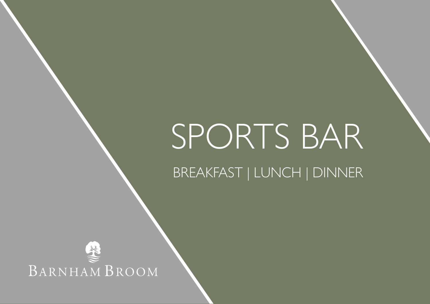# SPORTS BAR

BREAKFAST | LUNCH | DINNER

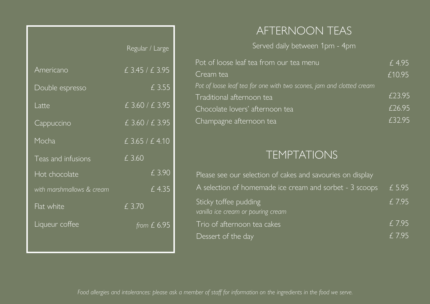|                           | Regular / Large     |
|---------------------------|---------------------|
| Americano                 | 6.3.45 / 6.3.95     |
| Double espresso           | £ 3.55              |
| Latte                     | £ 3.60 / £ 3.95     |
| Cappuccino                | £ 3.60 / £ 3.95     |
| Mocha                     | £ 3.65 / £ 4.10     |
| Teas and infusions        | £ 3.60              |
| Hot chocolate             | £ 3.90              |
| with marshmallows & cream | $\overline{)}$ 4.35 |
| Flat white                | £ 3.70              |
| Liqueur coffee            | from $£ 6.95$       |
|                           |                     |

# AFTERNOON TEAS

Served daily between 1pm - 4pm

| Pot of loose leaf tea from our tea menu                              | £4.95  |
|----------------------------------------------------------------------|--------|
| Cream tea                                                            | £10.95 |
| Pot of loose leaf tea for one with two scones, jam and clotted cream |        |
| Traditional afternoon tea                                            | £23.95 |
| Chocolate lovers' afternoon tea                                      | £26.95 |
| Champagne afternoon tea                                              | £32.95 |

# TEMPTATIONS

| Please see our selection of cakes and savouries on display  |        |
|-------------------------------------------------------------|--------|
| A selection of homemade ice cream and sorbet - 3 scoops     | £ 5.95 |
| Sticky toffee pudding<br>vanilla ice cream or pouring cream | £7.95  |
| Trio of afternoon tea cakes                                 | £7.95  |
| Dessert of the day                                          | f 7.95 |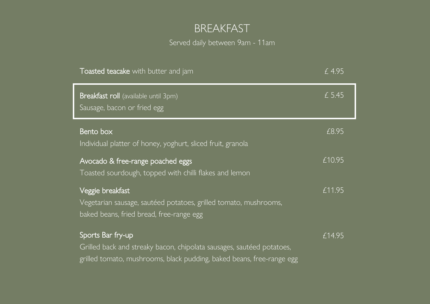# BREAKFAST

Served daily between 9am - 11am

| Toasted teacake with butter and jam                                                                                                                                 | £4.95     |
|---------------------------------------------------------------------------------------------------------------------------------------------------------------------|-----------|
| Breakfast roll (available until 3pm)<br>Sausage, bacon or fried egg                                                                                                 | £ 5.45    |
| Bento box<br>Individual platter of honey, yoghurt, sliced fruit, granola                                                                                            | £8.95     |
| Avocado & free-range poached eggs<br>Toasted sourdough, topped with chilli flakes and lemon                                                                         | £10.95    |
| Veggie breakfast<br>Vegetarian sausage, sautéed potatoes, grilled tomato, mushrooms,<br>baked beans, fried bread, free-range egg                                    | £11.95    |
| Sports Bar fry-up<br>Grilled back and streaky bacon, chipolata sausages, sautéed potatoes,<br>grilled tomato, mushrooms, black pudding, baked beans, free-range egg | $E$ 14.95 |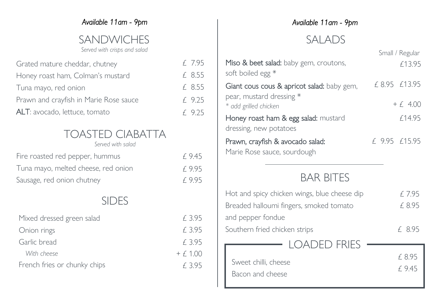### *Available 11am - 9pm*

# SANDWICHES

#### *Served with crisps and salad*

| Grated mature cheddar, chutney         | £ 7.95   |
|----------------------------------------|----------|
| Honey roast ham, Colman's mustard      | £ 8.55   |
| Tuna mayo, red onion                   | £ 8.55   |
| Prawn and crayfish in Marie Rose sauce | $f$ 9.25 |
| ALT: avocado, lettuce, tomato          | $f$ 9.25 |

# TOASTED CIABATTA

*Served with salad*

| Fire roasted red pepper, hummus     | f 9.45 |
|-------------------------------------|--------|
| Tuna mayo, melted cheese, red onion | f 9.95 |
| Sausage, red onion chutney          | f 9.95 |

## SIDES

| Mixed dressed green salad    | f 3.95     |
|------------------------------|------------|
| Onion rings                  | £ 3.95     |
| Garlic bread                 | f 3.95     |
| With cheese                  | $+ f 1.00$ |
| French fries or chunky chips | f 395      |

## *Available 11am - 9pm*

# SALADS

|                                                                 |               | Small / Regular |
|-----------------------------------------------------------------|---------------|-----------------|
| Miso & beet salad: baby gem, croutons,<br>soft boiled egg *     |               | £13.95          |
| Giant cous cous & apricot salad: baby gem,                      |               | £ 8.95 £13.95   |
| pear, mustard dressing *<br>* add grilled chicken               |               | $+ 64.00$       |
| Honey roast ham & egg salad: mustard<br>dressing, new potatoes  |               | f14.95          |
| Prawn, crayfish & avocado salad:<br>Marie Rose sauce, sourdough | £ 9.95 £15.95 |                 |

# BAR BITES

| Hot and spicy chicken wings, blue cheese dip | f. 7.95          |
|----------------------------------------------|------------------|
| Breaded halloumi fingers, smoked tomato      | £ 8.95           |
| and pepper fondue                            |                  |
| Southern fried chicken strips                | f 8.95           |
| <b>I OADED FRIES</b>                         |                  |
| Sweet chilli, cheese<br>Bacon and cheese     | £ 8.95<br>f 9.45 |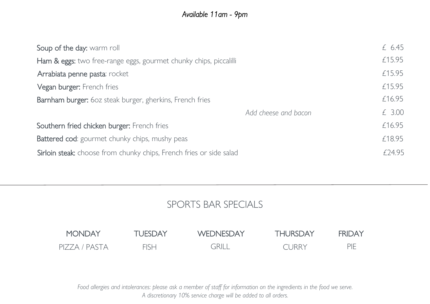## *Available 11am - 9pm*

| £ $6.45$ |
|----------|
| £15.95   |
| £15.95   |
| £15.95   |
| £16.95   |
| £ 3.00   |
| £16.95   |
| £18.95   |
| f 2495   |
|          |

## SPORTS BAR SPECIALS



*Food allergies and intolerances: please ask a member of staff for information on the ingredients in the food we serve. A discretionary 10% service charge will be added to all orders.*